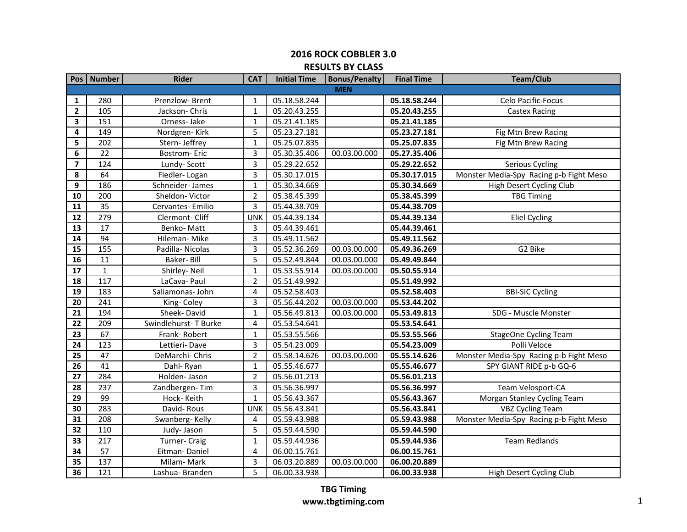|                         | Pos   Number | <b>Rider</b>         | <b>CAT</b>     | <b>Initial Time</b> | <b>Bonus/Penalty</b> | <b>Final Time</b> | <b>Team/Club</b>                        |
|-------------------------|--------------|----------------------|----------------|---------------------|----------------------|-------------------|-----------------------------------------|
|                         |              |                      |                |                     | <b>MEN</b>           |                   |                                         |
| 1                       | 280          | Prenzlow-Brent       | 1              | 05.18.58.244        |                      | 05.18.58.244      | Celo Pacific-Focus                      |
| $\mathbf{2}$            | 105          | Jackson-Chris        | $1\,$          | 05.20.43.255        |                      | 05.20.43.255      | <b>Castex Racing</b>                    |
| 3                       | 151          | Orness-Jake          | $1\,$          | 05.21.41.185        |                      | 05.21.41.185      |                                         |
| 4                       | 149          | Nordgren-Kirk        | 5              | 05.23.27.181        |                      | 05.23.27.181      | Fig Mtn Brew Racing                     |
| 5                       | 202          | Stern- Jeffrey       | 1              | 05.25.07.835        |                      | 05.25.07.835      | Fig Mtn Brew Racing                     |
| 6                       | 22           | <b>Bostrom-Eric</b>  | 3              | 05.30.35.406        | 00.03.00.000         | 05.27.35.406      |                                         |
| $\overline{\mathbf{z}}$ | 124          | Lundy-Scott          | 3              | 05.29.22.652        |                      | 05.29.22.652      | <b>Serious Cycling</b>                  |
| 8                       | 64           | Fiedler-Logan        | 3              | 05.30.17.015        |                      | 05.30.17.015      | Monster Media-Spy Racing p-b Fight Meso |
| 9                       | 186          | Schneider-James      | 1              | 05.30.34.669        |                      | 05.30.34.669      | High Desert Cycling Club                |
| 10                      | 200          | Sheldon-Victor       | $\overline{2}$ | 05.38.45.399        |                      | 05.38.45.399      | <b>TBG Timing</b>                       |
| 11                      | 35           | Cervantes- Emilio    | 3              | 05.44.38.709        |                      | 05.44.38.709      |                                         |
| 12                      | 279          | Clermont- Cliff      | <b>UNK</b>     | 05.44.39.134        |                      | 05.44.39.134      | <b>Eliel Cycling</b>                    |
| 13                      | 17           | Benko-Matt           | 3              | 05.44.39.461        |                      | 05.44.39.461      |                                         |
| 14                      | 94           | Hileman-Mike         | 3              | 05.49.11.562        |                      | 05.49.11.562      |                                         |
| 15                      | 155          | Padilla-Nicolas      | 3              | 05.52.36.269        | 00.03.00.000         | 05.49.36.269      | G2 Bike                                 |
| 16                      | 11           | Baker-Bill           | 5              | 05.52.49.844        | 00.03.00.000         | 05.49.49.844      |                                         |
| 17                      | $\mathbf{1}$ | Shirley-Neil         | $\mathbf{1}$   | 05.53.55.914        | 00.03.00.000         | 05.50.55.914      |                                         |
| 18                      | 117          | LaCava- Paul         | $\overline{2}$ | 05.51.49.992        |                      | 05.51.49.992      |                                         |
| 19                      | 183          | Saliamonas- John     | 4              | 05.52.58.403        |                      | 05.52.58.403      | <b>BBI-SIC Cycling</b>                  |
| $\overline{20}$         | 241          | King-Coley           | 3              | 05.56.44.202        | 00.03.00.000         | 05.53.44.202      |                                         |
| 21                      | 194          | Sheek-David          | $\mathbf{1}$   | 05.56.49.813        | 00.03.00.000         | 05.53.49.813      | SDG - Muscle Monster                    |
| 22                      | 209          | Swindlehurst-T Burke | 4              | 05.53.54.641        |                      | 05.53.54.641      |                                         |
| 23                      | 67           | Frank-Robert         | 1              | 05.53.55.566        |                      | 05.53.55.566      | <b>StageOne Cycling Team</b>            |
| 24                      | 123          | Lettieri-Dave        | 3              | 05.54.23.009        |                      | 05.54.23.009      | Polli Veloce                            |
| 25                      | 47           | DeMarchi-Chris       | $\overline{2}$ | 05.58.14.626        | 00.03.00.000         | 05.55.14.626      | Monster Media-Spy Racing p-b Fight Meso |
| 26                      | 41           | Dahl-Ryan            | 1              | 05.55.46.677        |                      | 05.55.46.677      | SPY GIANT RIDE p-b GQ-6                 |
| 27                      | 284          | Holden- Jason        | $\overline{2}$ | 05.56.01.213        |                      | 05.56.01.213      |                                         |
| $\overline{28}$         | 237          | Zandbergen-Tim       | 3              | 05.56.36.997        |                      | 05.56.36.997      | Team Velosport-CA                       |
| 29                      | 99           | Hock-Keith           | $\mathbf{1}$   | 05.56.43.367        |                      | 05.56.43.367      | Morgan Stanley Cycling Team             |
| 30                      | 283          | David-Rous           | <b>UNK</b>     | 05.56.43.841        |                      | 05.56.43.841      | <b>VBZ Cycling Team</b>                 |
| 31                      | 208          | Swanberg-Kelly       | 4              | 05.59.43.988        |                      | 05.59.43.988      | Monster Media-Spy Racing p-b Fight Meso |
| 32                      | 110          | Judy-Jason           | 5              | 05.59.44.590        |                      | 05.59.44.590      |                                         |
| 33                      | 217          | Turner- Craig        | $\mathbf{1}$   | 05.59.44.936        |                      | 05.59.44.936      | <b>Team Redlands</b>                    |
| 34                      | 57           | Eitman-Daniel        | 4              | 06.00.15.761        |                      | 06.00.15.761      |                                         |
| 35                      | 137          | Milam-Mark           | 3              | 06.03.20.889        | 00.03.00.000         | 06.00.20.889      |                                         |
| $\overline{36}$         | 121          | Lashua-Branden       | 5              | 06.00.33.938        |                      | 06.00.33.938      | High Desert Cycling Club                |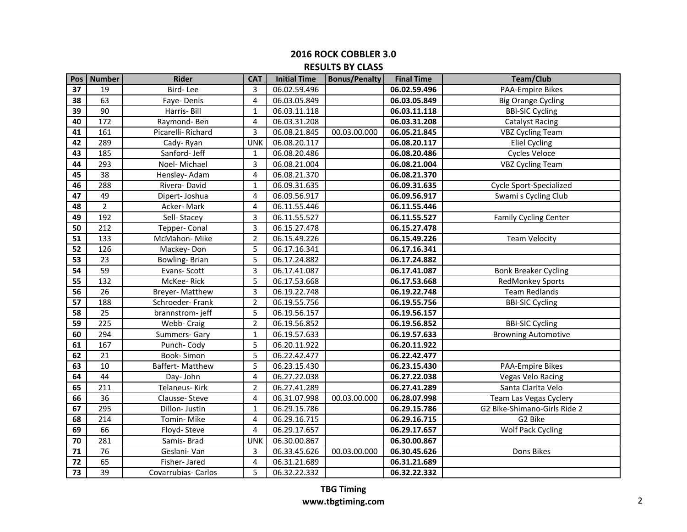| Pos             | <b>Number</b>   | <b>Rider</b>         | <b>CAT</b>     | <b>Initial Time</b> | <b>Bonus/Penalty</b> | <b>Final Time</b> | <b>Team/Club</b>             |
|-----------------|-----------------|----------------------|----------------|---------------------|----------------------|-------------------|------------------------------|
| 37              | 19              | Bird-Lee             | 3              | 06.02.59.496        |                      | 06.02.59.496      | <b>PAA-Empire Bikes</b>      |
| 38              | 63              | Faye-Denis           | $\overline{4}$ | 06.03.05.849        |                      | 06.03.05.849      | <b>Big Orange Cycling</b>    |
| $\overline{39}$ | $\overline{90}$ | Harris-Bill          | $\mathbf 1$    | 06.03.11.118        |                      | 06.03.11.118      | <b>BBI-SIC Cycling</b>       |
| 40              | 172             | Raymond-Ben          | $\overline{4}$ | 06.03.31.208        |                      | 06.03.31.208      | <b>Catalyst Racing</b>       |
| 41              | 161             | Picarelli-Richard    | 3              | 06.08.21.845        | 00.03.00.000         | 06.05.21.845      | <b>VBZ Cycling Team</b>      |
| 42              | 289             | Cady-Ryan            | <b>UNK</b>     | 06.08.20.117        |                      | 06.08.20.117      | <b>Eliel Cycling</b>         |
| 43              | 185             | Sanford- Jeff        | $\mathbf{1}$   | 06.08.20.486        |                      | 06.08.20.486      | <b>Cycles Veloce</b>         |
| 44              | 293             | Noel-Michael         | 3              | 06.08.21.004        |                      | 06.08.21.004      | <b>VBZ Cycling Team</b>      |
| 45              | 38              | Hensley- Adam        | 4              | 06.08.21.370        |                      | 06.08.21.370      |                              |
| 46              | 288             | Rivera-David         | 1              | 06.09.31.635        |                      | 06.09.31.635      | Cycle Sport-Specialized      |
| 47              | 49              | Dipert- Joshua       | 4              | 06.09.56.917        |                      | 06.09.56.917      | Swami s Cycling Club         |
| 48              | $\overline{2}$  | Acker-Mark           | $\overline{4}$ | 06.11.55.446        |                      | 06.11.55.446      |                              |
| 49              | 192             | Sell-Stacey          | 3              | 06.11.55.527        |                      | 06.11.55.527      | <b>Family Cycling Center</b> |
| 50              | 212             | Tepper- Conal        | 3              | 06.15.27.478        |                      | 06.15.27.478      |                              |
| 51              | 133             | McMahon-Mike         | $\overline{2}$ | 06.15.49.226        |                      | 06.15.49.226      | <b>Team Velocity</b>         |
| 52              | 126             | Mackey-Don           | 5              | 06.17.16.341        |                      | 06.17.16.341      |                              |
| 53              | 23              | <b>Bowling-Brian</b> | 5              | 06.17.24.882        |                      | 06.17.24.882      |                              |
| 54              | 59              | Evans-Scott          | 3              | 06.17.41.087        |                      | 06.17.41.087      | <b>Bonk Breaker Cycling</b>  |
| 55              | 132             | McKee-Rick           | 5              | 06.17.53.668        |                      | 06.17.53.668      | RedMonkey Sports             |
| 56              | 26              | Breyer- Matthew      | 3              | 06.19.22.748        |                      | 06.19.22.748      | <b>Team Redlands</b>         |
| 57              | 188             | Schroeder-Frank      | $\overline{2}$ | 06.19.55.756        |                      | 06.19.55.756      | <b>BBI-SIC Cycling</b>       |
| 58              | 25              | brannstrom-jeff      | 5              | 06.19.56.157        |                      | 06.19.56.157      |                              |
| 59              | 225             | Webb- Craig          | $\overline{2}$ | 06.19.56.852        |                      | 06.19.56.852      | <b>BBI-SIC Cycling</b>       |
| 60              | 294             | Summers- Gary        | 1              | 06.19.57.633        |                      | 06.19.57.633      | <b>Browning Automotive</b>   |
| 61              | 167             | Punch-Cody           | 5              | 06.20.11.922        |                      | 06.20.11.922      |                              |
| 62              | 21              | Book-Simon           | 5              | 06.22.42.477        |                      | 06.22.42.477      |                              |
| 63              | 10              | Baffert-Matthew      | 5              | 06.23.15.430        |                      | 06.23.15.430      | <b>PAA-Empire Bikes</b>      |
| 64              | 44              | Day-John             | $\overline{4}$ | 06.27.22.038        |                      | 06.27.22.038      | <b>Vegas Velo Racing</b>     |
| 65              | 211             | Telaneus- Kirk       | $\overline{2}$ | 06.27.41.289        |                      | 06.27.41.289      | Santa Clarita Velo           |
| 66              | 36              | Clausse-Steve        | $\overline{4}$ | 06.31.07.998        | 00.03.00.000         | 06.28.07.998      | Team Las Vegas Cyclery       |
| 67              | 295             | Dillon- Justin       | $\mathbf{1}$   | 06.29.15.786        |                      | 06.29.15.786      | G2 Bike-Shimano-Girls Ride 2 |
| 68              | 214             | Tomin-Mike           | 4              | 06.29.16.715        |                      | 06.29.16.715      | G2 Bike                      |
| 69              | 66              | Floyd-Steve          | 4              | 06.29.17.657        |                      | 06.29.17.657      | <b>Wolf Pack Cycling</b>     |
| 70              | 281             | Samis-Brad           | <b>UNK</b>     | 06.30.00.867        |                      | 06.30.00.867      |                              |
| 71              | 76              | Geslani-Van          | 3              | 06.33.45.626        | 00.03.00.000         | 06.30.45.626      | Dons Bikes                   |
| 72              | 65              | Fisher-Jared         | 4              | 06.31.21.689        |                      | 06.31.21.689      |                              |
| 73              | 39              | Covarrubias- Carlos  | 5              | 06.32.22.332        |                      | 06.32.22.332      |                              |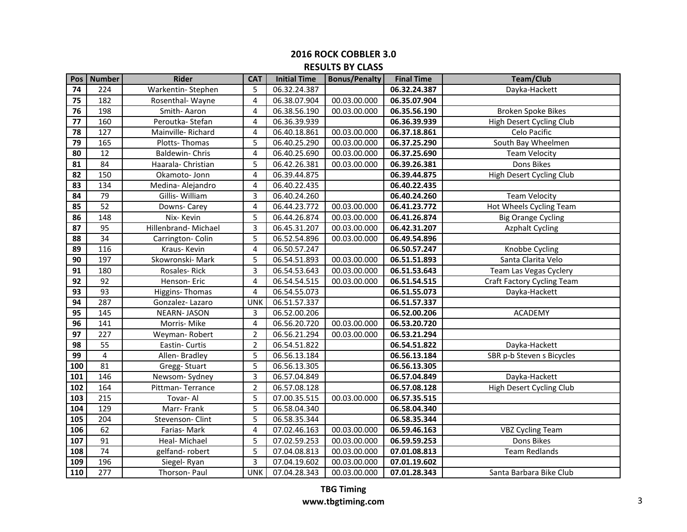| Pos                                 | <b>Number</b>    | <b>Rider</b>          | <b>CAT</b>     | <b>Initial Time</b> | <b>Bonus/Penalty</b> | <b>Final Time</b> | <b>Team/Club</b>                |
|-------------------------------------|------------------|-----------------------|----------------|---------------------|----------------------|-------------------|---------------------------------|
| 74                                  | 224              | Warkentin-Stephen     | 5              | 06.32.24.387        |                      | 06.32.24.387      | Dayka-Hackett                   |
| 75                                  | 182              | Rosenthal-Wayne       | $\overline{4}$ | 06.38.07.904        | 00.03.00.000         | 06.35.07.904      |                                 |
| 76                                  | 198              | Smith-Aaron           | 4              | 06.38.56.190        | 00.03.00.000         | 06.35.56.190      | <b>Broken Spoke Bikes</b>       |
| 77                                  | 160              | Peroutka-Stefan       | 4              | 06.36.39.939        |                      | 06.36.39.939      | High Desert Cycling Club        |
| 78                                  | 127              | Mainville-Richard     | 4              | 06.40.18.861        | 00.03.00.000         | 06.37.18.861      | Celo Pacific                    |
| $\overline{79}$                     | 165              | Plotts-Thomas         | 5              | 06.40.25.290        | 00.03.00.000         | 06.37.25.290      | South Bay Wheelmen              |
| 80                                  | 12               | <b>Baldewin-Chris</b> | 4              | 06.40.25.690        | 00.03.00.000         | 06.37.25.690      | <b>Team Velocity</b>            |
| 81                                  | 84               | Haarala- Christian    | 5              | 06.42.26.381        | 00.03.00.000         | 06.39.26.381      | Dons Bikes                      |
| 82                                  | 150              | Okamoto- Jonn         | 4              | 06.39.44.875        |                      | 06.39.44.875      | <b>High Desert Cycling Club</b> |
| 83                                  | 134              | Medina- Alejandro     | 4              | 06.40.22.435        |                      | 06.40.22.435      |                                 |
| 84                                  | 79               | Gillis-William        | 3              | 06.40.24.260        |                      | 06.40.24.260      | <b>Team Velocity</b>            |
| $\overline{\overline{\mathbf{85}}}$ | 52               | Downs- Carey          | $\overline{4}$ | 06.44.23.772        | 00.03.00.000         | 06.41.23.772      | Hot Wheels Cycling Team         |
| 86                                  | 148              | Nix-Kevin             | 5              | 06.44.26.874        | 00.03.00.000         | 06.41.26.874      | <b>Big Orange Cycling</b>       |
| 87                                  | 95               | Hillenbrand- Michael  | 3              | 06.45.31.207        | 00.03.00.000         | 06.42.31.207      | <b>Azphalt Cycling</b>          |
| 88                                  | 34               | Carrington- Colin     | 5              | 06.52.54.896        | 00.03.00.000         | 06.49.54.896      |                                 |
| 89                                  | 116              | Kraus-Kevin           | $\overline{4}$ | 06.50.57.247        |                      | 06.50.57.247      | Knobbe Cycling                  |
| 90                                  | 197              | Skowronski-Mark       | 5              | 06.54.51.893        | 00.03.00.000         | 06.51.51.893      | Santa Clarita Velo              |
| 91                                  | 180              | Rosales-Rick          | 3              | 06.54.53.643        | 00.03.00.000         | 06.51.53.643      | Team Las Vegas Cyclery          |
| 92                                  | 92               | Henson- Eric          | $\overline{4}$ | 06.54.54.515        | 00.03.00.000         | 06.51.54.515      | Craft Factory Cycling Team      |
| 93                                  | 93               | Higgins-Thomas        | $\overline{4}$ | 06.54.55.073        |                      | 06.51.55.073      | Dayka-Hackett                   |
| 94                                  | 287              | Gonzalez-Lazaro       | <b>UNK</b>     | 06.51.57.337        |                      | 06.51.57.337      |                                 |
| 95                                  | 145              | <b>NEARN-JASON</b>    | 3              | 06.52.00.206        |                      | 06.52.00.206      | <b>ACADEMY</b>                  |
| 96                                  | 141              | Morris- Mike          | 4              | 06.56.20.720        | 00.03.00.000         | 06.53.20.720      |                                 |
| 97                                  | 227              | Weyman-Robert         | $\overline{2}$ | 06.56.21.294        | 00.03.00.000         | 06.53.21.294      |                                 |
| 98                                  | 55               | Eastin- Curtis        | $\overline{2}$ | 06.54.51.822        |                      | 06.54.51.822      | Dayka-Hackett                   |
| $\overline{99}$                     | 4                | Allen-Bradley         | 5              | 06.56.13.184        |                      | 06.56.13.184      | SBR p-b Steven s Bicycles       |
| 100                                 | 81               | Gregg-Stuart          | 5              | 06.56.13.305        |                      | 06.56.13.305      |                                 |
| 101                                 | 146              | Newsom-Sydney         | 3              | 06.57.04.849        |                      | 06.57.04.849      | Dayka-Hackett                   |
| 102                                 | 164              | Pittman-Terrance      | $\overline{2}$ | 06.57.08.128        |                      | 06.57.08.128      | High Desert Cycling Club        |
| 103                                 | 215              | Tovar-Al              | 5              | 07.00.35.515        | 00.03.00.000         | 06.57.35.515      |                                 |
| 104                                 | 129              | Marr-Frank            | 5              | 06.58.04.340        |                      | 06.58.04.340      |                                 |
| $\frac{105}{105}$                   | 204              | Stevenson- Clint      | 5              | 06.58.35.344        |                      | 06.58.35.344      |                                 |
| 106                                 | 62               | Farias-Mark           | 4              | 07.02.46.163        | 00.03.00.000         | 06.59.46.163      | <b>VBZ Cycling Team</b>         |
| 107                                 | 91               | Heal- Michael         | 5              | 07.02.59.253        | 00.03.00.000         | 06.59.59.253      | Dons Bikes                      |
| 108                                 | $\overline{74}$  | gelfand-robert        | 5              | 07.04.08.813        | 00.03.00.000         | 07.01.08.813      | <b>Team Redlands</b>            |
| 109                                 | 196              | Siegel-Ryan           | 3              | 07.04.19.602        | 00.03.00.000         | 07.01.19.602      |                                 |
| 110                                 | $\overline{277}$ | Thorson- Paul         | <b>UNK</b>     | 07.04.28.343        | 00.03.00.000         | 07.01.28.343      | Santa Barbara Bike Club         |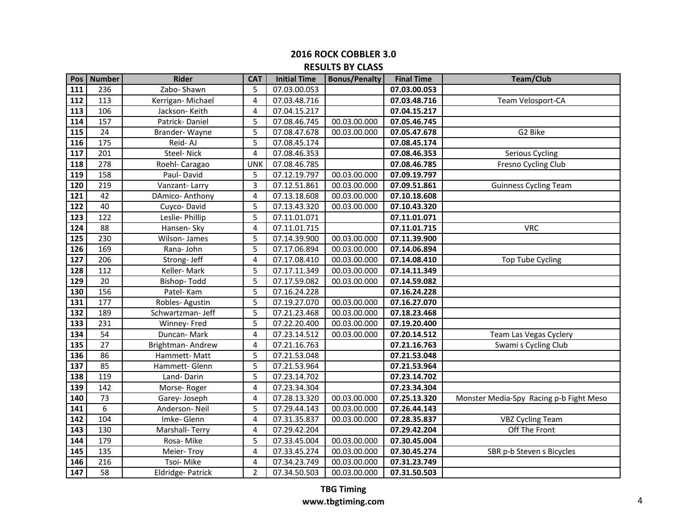|                   | Pos   Number    | <b>Rider</b>      | <b>CAT</b>     | <b>Initial Time</b> | <b>Bonus/Penalty</b> | <b>Final Time</b> | <b>Team/Club</b>                        |
|-------------------|-----------------|-------------------|----------------|---------------------|----------------------|-------------------|-----------------------------------------|
| 111               | 236             | Zabo-Shawn        | 5              | 07.03.00.053        |                      | 07.03.00.053      |                                         |
| 112               | 113             | Kerrigan-Michael  | 4              | 07.03.48.716        |                      | 07.03.48.716      | Team Velosport-CA                       |
| $\frac{113}{1}$   | 106             | Jackson-Keith     | 4              | 07.04.15.217        |                      | 07.04.15.217      |                                         |
| 114               | 157             | Patrick-Daniel    | 5              | 07.08.46.745        | 00.03.00.000         | 07.05.46.745      |                                         |
| 115               | 24              | Brander-Wayne     | 5              | 07.08.47.678        | 00.03.00.000         | 07.05.47.678      | G2 Bike                                 |
| 116               | 175             | Reid-AJ           | 5              | 07.08.45.174        |                      | 07.08.45.174      |                                         |
| 117               | 201             | Steel-Nick        | 4              | 07.08.46.353        |                      | 07.08.46.353      | Serious Cycling                         |
| 118               | 278             | Roehl- Caragao    | <b>UNK</b>     | 07.08.46.785        |                      | 07.08.46.785      | Fresno Cycling Club                     |
| 119               | 158             | Paul-David        | 5              | 07.12.19.797        | 00.03.00.000         | 07.09.19.797      |                                         |
| 120               | 219             | Vanzant-Larry     | 3              | 07.12.51.861        | 00.03.00.000         | 07.09.51.861      | <b>Guinness Cycling Team</b>            |
| 121               | 42              | DAmico-Anthony    | 4              | 07.13.18.608        | 00.03.00.000         | 07.10.18.608      |                                         |
| 122               | 40              | Cuyco-David       | 5              | 07.13.43.320        | 00.03.00.000         | 07.10.43.320      |                                         |
| 123               | 122             | Leslie- Phillip   | 5              | 07.11.01.071        |                      | 07.11.01.071      |                                         |
| 124               | 88              | Hansen- Sky       | 4              | 07.11.01.715        |                      | 07.11.01.715      | <b>VRC</b>                              |
| 125               | 230             | Wilson-James      | 5              | 07.14.39.900        | 00.03.00.000         | 07.11.39.900      |                                         |
| 126               | 169             | Rana-John         | 5              | 07.17.06.894        | 00.03.00.000         | 07.14.06.894      |                                         |
| 127               | 206             | Strong- Jeff      | 4              | 07.17.08.410        | 00.03.00.000         | 07.14.08.410      | <b>Top Tube Cycling</b>                 |
| 128               | 112             | Keller-Mark       | 5              | 07.17.11.349        | 00.03.00.000         | 07.14.11.349      |                                         |
| 129               | 20              | Bishop-Todd       | 5              | 07.17.59.082        | 00.03.00.000         | 07.14.59.082      |                                         |
| 130               | 156             | Patel-Kam         | 5              | 07.16.24.228        |                      | 07.16.24.228      |                                         |
| $\frac{1}{131}$   | 177             | Robles-Agustin    | 5              | 07.19.27.070        | 00.03.00.000         | 07.16.27.070      |                                         |
| 132               | 189             | Schwartzman- Jeff | 5              | 07.21.23.468        | 00.03.00.000         | 07.18.23.468      |                                         |
| 133               | 231             | Winney- Fred      | 5              | 07.22.20.400        | 00.03.00.000         | 07.19.20.400      |                                         |
| 134               | 54              | Duncan-Mark       | 4              | 07.23.14.512        | 00.03.00.000         | 07.20.14.512      | Team Las Vegas Cyclery                  |
| 135               | 27              | Brightman-Andrew  | 4              | 07.21.16.763        |                      | 07.21.16.763      | Swami s Cycling Club                    |
| 136               | 86              | Hammett-Matt      | 5              | 07.21.53.048        |                      | 07.21.53.048      |                                         |
| 137               | 85              | Hammett- Glenn    | 5              | 07.21.53.964        |                      | 07.21.53.964      |                                         |
| 138               | 119             | Land-Darin        | 5              | 07.23.14.702        |                      | 07.23.14.702      |                                         |
| 139               | 142             | Morse-Roger       | 4              | 07.23.34.304        |                      | 07.23.34.304      |                                         |
| 140               | 73              | Garey-Joseph      | 4              | 07.28.13.320        | 00.03.00.000         | 07.25.13.320      | Monster Media-Spy Racing p-b Fight Meso |
| 141               | 6               | Anderson-Neil     | 5              | 07.29.44.143        | 00.03.00.000         | 07.26.44.143      |                                         |
| 142               | 104             | Imke-Glenn        | 4              | 07.31.35.837        | 00.03.00.000         | 07.28.35.837      | <b>VBZ Cycling Team</b>                 |
| 143               | 130             | Marshall-Terry    | 4              | 07.29.42.204        |                      | 07.29.42.204      | Off The Front                           |
| 144               | 179             | Rosa-Mike         | 5              | 07.33.45.004        | 00.03.00.000         | 07.30.45.004      |                                         |
| 145               | 135             | Meier-Troy        | 4              | 07.33.45.274        | 00.03.00.000         | 07.30.45.274      | SBR p-b Steven s Bicycles               |
| 146               | 216             | Tsoi-Mike         | 4              | 07.34.23.749        | 00.03.00.000         | 07.31.23.749      |                                         |
| $\frac{147}{147}$ | $\overline{58}$ | Eldridge-Patrick  | $\overline{2}$ | 07.34.50.503        | 00.03.00.000         | 07.31.50.503      |                                         |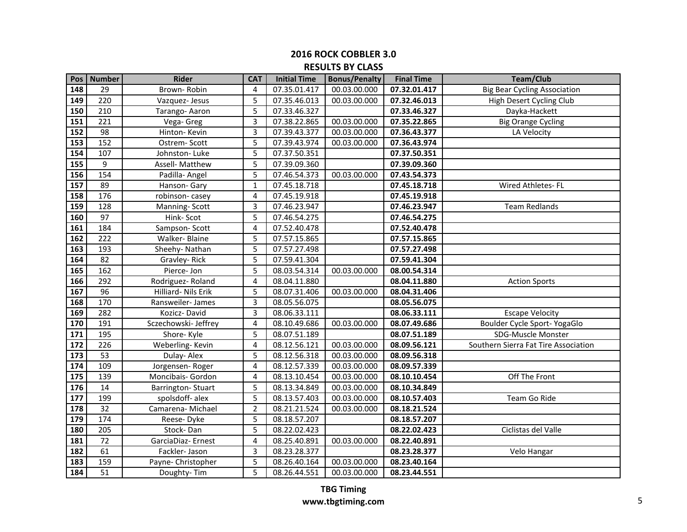| Pos <sup>1</sup>  | <b>Number</b>   | <b>Rider</b>         | <b>CAT</b>     | <b>Initial Time</b> | <b>Bonus/Penalty</b> | <b>Final Time</b> | <b>Team/Club</b>                     |
|-------------------|-----------------|----------------------|----------------|---------------------|----------------------|-------------------|--------------------------------------|
| 148               | 29              | Brown-Robin          | 4              | 07.35.01.417        | 00.03.00.000         | 07.32.01.417      | <b>Big Bear Cycling Association</b>  |
| 149               | 220             | Vazquez-Jesus        | 5              | 07.35.46.013        | 00.03.00.000         | 07.32.46.013      | High Desert Cycling Club             |
| 150               | 210             | Tarango-Aaron        | 5              | 07.33.46.327        |                      | 07.33.46.327      | Dayka-Hackett                        |
| 151               | 221             | Vega- Greg           | 3              | 07.38.22.865        | 00.03.00.000         | 07.35.22.865      | <b>Big Orange Cycling</b>            |
| 152               | 98              | Hinton-Kevin         | 3              | 07.39.43.377        | 00.03.00.000         | 07.36.43.377      | LA Velocity                          |
| $\overline{153}$  | 152             | Ostrem-Scott         | 5              | 07.39.43.974        | 00.03.00.000         | 07.36.43.974      |                                      |
| 154               | 107             | Johnston-Luke        | 5              | 07.37.50.351        |                      | 07.37.50.351      |                                      |
| 155               | 9               | Assell- Matthew      | 5              | 07.39.09.360        |                      | 07.39.09.360      |                                      |
| 156               | 154             | Padilla- Angel       | 5              | 07.46.54.373        | 00.03.00.000         | 07.43.54.373      |                                      |
| $\frac{157}{157}$ | 89              | Hanson- Gary         | $\mathbf{1}$   | 07.45.18.718        |                      | 07.45.18.718      | Wired Athletes-FL                    |
| 158               | 176             | robinson-casey       | 4              | 07.45.19.918        |                      | 07.45.19.918      |                                      |
| 159               | 128             | Manning-Scott        | 3              | 07.46.23.947        |                      | 07.46.23.947      | <b>Team Redlands</b>                 |
| 160               | 97              | Hink-Scot            | 5              | 07.46.54.275        |                      | 07.46.54.275      |                                      |
| 161               | 184             | Sampson-Scott        | 4              | 07.52.40.478        |                      | 07.52.40.478      |                                      |
| $\frac{162}{ }$   | 222             | Walker-Blaine        | 5              | 07.57.15.865        |                      | 07.57.15.865      |                                      |
| 163               | 193             | Sheehy-Nathan        | 5              | 07.57.27.498        |                      | 07.57.27.498      |                                      |
| 164               | 82              | Gravley-Rick         | 5              | 07.59.41.304        |                      | 07.59.41.304      |                                      |
| 165               | 162             | Pierce-Jon           | 5              | 08.03.54.314        | 00.03.00.000         | 08.00.54.314      |                                      |
| 166               | 292             | Rodriguez-Roland     | 4              | 08.04.11.880        |                      | 08.04.11.880      | <b>Action Sports</b>                 |
| 167               | 96              | Hilliard-Nils Erik   | 5              | 08.07.31.406        | 00.03.00.000         | 08.04.31.406      |                                      |
| 168               | 170             | Ransweiler- James    | 3              | 08.05.56.075        |                      | 08.05.56.075      |                                      |
| 169               | 282             | Kozicz-David         | 3              | 08.06.33.111        |                      | 08.06.33.111      | <b>Escape Velocity</b>               |
| 170               | 191             | Sczechowski- Jeffrey | $\overline{4}$ | 08.10.49.686        | 00.03.00.000         | 08.07.49.686      | Boulder Cycle Sport- YogaGlo         |
| $\frac{1}{171}$   | $\frac{195}{ }$ | Shore-Kyle           | 5              | 08.07.51.189        |                      | 08.07.51.189      | <b>SDG-Muscle Monster</b>            |
| 172               | 226             | Weberling-Kevin      | 4              | 08.12.56.121        | 00.03.00.000         | 08.09.56.121      | Southern Sierra Fat Tire Association |
| 173               | 53              | Dulay-Alex           | 5              | 08.12.56.318        | 00.03.00.000         | 08.09.56.318      |                                      |
| 174               | 109             | Jorgensen-Roger      | 4              | 08.12.57.339        | 00.03.00.000         | 08.09.57.339      |                                      |
| 175               | 139             | Moncibais- Gordon    | 4              | 08.13.10.454        | 00.03.00.000         | 08.10.10.454      | Off The Front                        |
| 176               | 14              | Barrington-Stuart    | 5              | 08.13.34.849        | 00.03.00.000         | 08.10.34.849      |                                      |
| 177               | 199             | spolsdoff-alex       | 5              | 08.13.57.403        | 00.03.00.000         | 08.10.57.403      | Team Go Ride                         |
| 178               | 32              | Camarena- Michael    | $\overline{2}$ | 08.21.21.524        | 00.03.00.000         | 08.18.21.524      |                                      |
| 179               | 174             | Reese-Dyke           | 5              | 08.18.57.207        |                      | 08.18.57.207      |                                      |
| 180               | 205             | Stock-Dan            | 5              | 08.22.02.423        |                      | 08.22.02.423      | Ciclistas del Valle                  |
| 181               | 72              | GarciaDiaz-Ernest    | 4              | 08.25.40.891        | 00.03.00.000         | 08.22.40.891      |                                      |
| 182               | 61              | Fackler-Jason        | 3              | 08.23.28.377        |                      | 08.23.28.377      | Velo Hangar                          |
| 183               | 159             | Payne- Christopher   | 5              | 08.26.40.164        | 00.03.00.000         | 08.23.40.164      |                                      |
| 184               | $\overline{51}$ | Doughty-Tim          | 5              | 08.26.44.551        | 00.03.00.000         | 08.23.44.551      |                                      |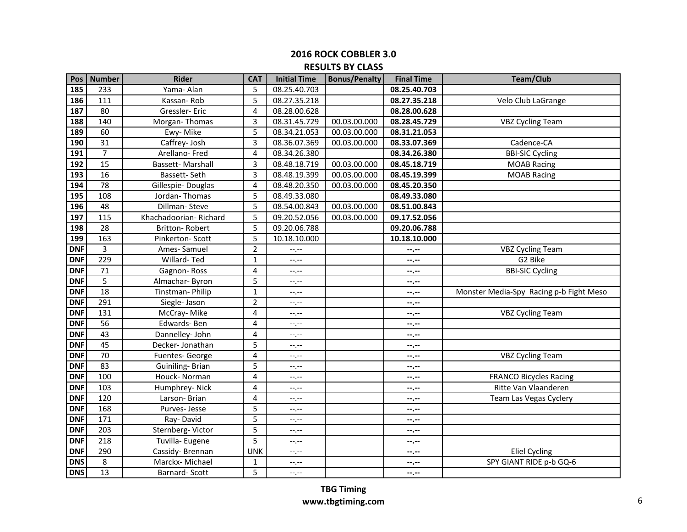|                 | Pos   Number    | <b>Rider</b>          | <b>CAT</b>     | <b>Initial Time</b> | <b>Bonus/Penalty</b> | <b>Final Time</b> | <b>Team/Club</b>                        |
|-----------------|-----------------|-----------------------|----------------|---------------------|----------------------|-------------------|-----------------------------------------|
| 185             | 233             | Yama- Alan            | 5              | 08.25.40.703        |                      | 08.25.40.703      |                                         |
| 186             | 111             | Kassan-Rob            | 5              | 08.27.35.218        |                      | 08.27.35.218      | Velo Club LaGrange                      |
| 187             | 80              | Gressler-Eric         | 4              | 08.28.00.628        |                      | 08.28.00.628      |                                         |
| 188             | 140             | Morgan-Thomas         | 3              | 08.31.45.729        | 00.03.00.000         | 08.28.45.729      | <b>VBZ Cycling Team</b>                 |
| 189             | 60              | Ewy-Mike              | 5              | 08.34.21.053        | 00.03.00.000         | 08.31.21.053      |                                         |
| 190             | $\overline{31}$ | Caffrey- Josh         | 3              | 08.36.07.369        | 00.03.00.000         | 08.33.07.369      | Cadence-CA                              |
| 191             | $\overline{7}$  | Arellano-Fred         | $\overline{4}$ | 08.34.26.380        |                      | 08.34.26.380      | <b>BBI-SIC Cycling</b>                  |
| 192             | $\overline{15}$ | Bassett-Marshall      | 3              | 08.48.18.719        | 00.03.00.000         | 08.45.18.719      | <b>MOAB Racing</b>                      |
| $\frac{193}{ }$ | $\overline{16}$ | Bassett-Seth          | 3              | 08.48.19.399        | 00.03.00.000         | 08.45.19.399      | <b>MOAB Racing</b>                      |
| 194             | 78              | Gillespie-Douglas     | 4              | 08.48.20.350        | 00.03.00.000         | 08.45.20.350      |                                         |
| 195             | 108             | Jordan-Thomas         | 5              | 08.49.33.080        |                      | 08.49.33.080      |                                         |
| 196             | 48              | Dillman-Steve         | 5              | 08.54.00.843        | 00.03.00.000         | 08.51.00.843      |                                         |
| 197             | 115             | Khachadoorian-Richard | 5              | 09.20.52.056        | 00.03.00.000         | 09.17.52.056      |                                         |
| 198             | 28              | <b>Britton-Robert</b> | 5              | 09.20.06.788        |                      | 09.20.06.788      |                                         |
| 199             | 163             | Pinkerton-Scott       | 5              | 10.18.10.000        |                      | 10.18.10.000      |                                         |
| <b>DNF</b>      | 3               | Ames-Samuel           | $\overline{2}$ | $-1, -1$            |                      | --.--             | <b>VBZ Cycling Team</b>                 |
| <b>DNF</b>      | 229             | Willard-Ted           | $\mathbf{1}$   | $-1$ . $-1$         |                      | --.--             | G2 Bike                                 |
| <b>DNF</b>      | $\overline{71}$ | Gagnon-Ross           | 4              | $-1$                |                      | --.--             | <b>BBI-SIC Cycling</b>                  |
| <b>DNF</b>      | 5               | Almachar-Byron        | 5              | --,--               |                      | --.--             |                                         |
| <b>DNF</b>      | 18              | Tinstman-Philip       | $\mathbf{1}$   | $-1 - 1 - 1 = 1$    |                      | $-$ , $-$         | Monster Media-Spy Racing p-b Fight Meso |
| <b>DNF</b>      | 291             | Siegle- Jason         | $\overline{2}$ | $-1$ . $-1$         |                      | --.--             |                                         |
| <b>DNF</b>      | 131             | McCray-Mike           | 4              | $-1$ . $-1$         |                      | $-1 - 1 - 1 = 0$  | <b>VBZ Cycling Team</b>                 |
| <b>DNF</b>      | 56              | Edwards-Ben           | 4              | $-1$ . $-1$         |                      | $-1 - 1 - 1 = 0$  |                                         |
| <b>DNF</b>      | 43              | Dannelley- John       | 4              | $-1$ . $-1$         |                      | $-1 - 1 - 1 = 0$  |                                         |
| <b>DNF</b>      | 45              | Decker-Jonathan       | 5              | $-1, -1$            |                      | --.--             |                                         |
| <b>DNF</b>      | 70              | Fuentes-George        | $\overline{4}$ | $-1, -1$            |                      | --.--             | <b>VBZ Cycling Team</b>                 |
| <b>DNF</b>      | 83              | Guiniling-Brian       | 5              | $-1, -1$            |                      | --.--             |                                         |
| <b>DNF</b>      | 100             | Houck- Norman         | 4              | $-1$                |                      | $-1 - 1 - 1 = 0$  | <b>FRANCO Bicycles Racing</b>           |
| <b>DNF</b>      | 103             | Humphrey-Nick         | 4              | --.--               |                      | --.--             | Ritte Van Vlaanderen                    |
| <b>DNF</b>      | 120             | Larson-Brian          | 4              | --.--               |                      | --.--             | Team Las Vegas Cyclery                  |
| <b>DNF</b>      | 168             | Purves-Jesse          | 5              | $-1$                |                      | $-2.2 -$          |                                         |
| <b>DNF</b>      | 171             | Ray-David             | 5              | $-1, -1$            |                      | $-2.2 -$          |                                         |
| <b>DNF</b>      | 203             | Sternberg-Victor      | 5              | $-1, -1$            |                      | --.--             |                                         |
| <b>DNF</b>      | 218             | Tuvilla- Eugene       | 5              | --.--               |                      | --.--             |                                         |
| <b>DNF</b>      | 290             | Cassidy-Brennan       | <b>UNK</b>     | $-1$                |                      | --.--             | <b>Eliel Cycling</b>                    |
| <b>DNS</b>      | 8               | Marckx- Michael       | 1              | $-1$                |                      | --.--             | SPY GIANT RIDE p-b GQ-6                 |
| <b>DNS</b>      | 13              | Barnard-Scott         | 5              | $-1$                |                      | $-1$ , $-1$       |                                         |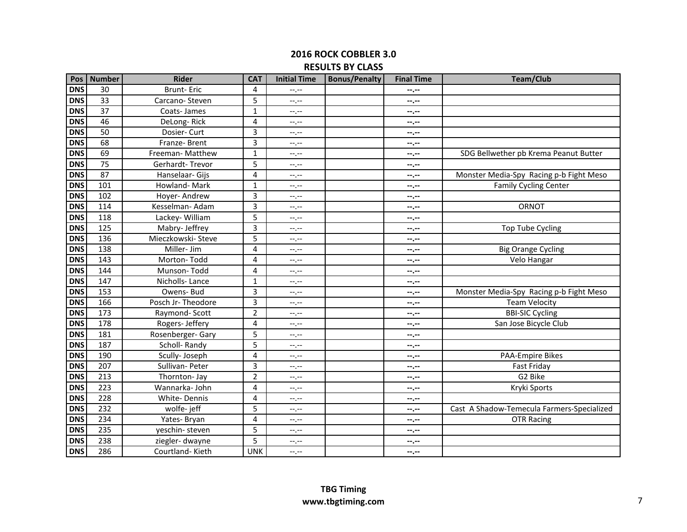#### **2016 ROCK COBBLER 3.0 RESULTS BY CLASS**

| Pos        | Number          | <b>Rider</b>      | <b>CAT</b>     | <b>Initial Time</b> | <b>Bonus/Penalty</b> | <b>Final Time</b> | <b>Team/Club</b>                           |
|------------|-----------------|-------------------|----------------|---------------------|----------------------|-------------------|--------------------------------------------|
| <b>DNS</b> | 30              | <b>Brunt-Eric</b> | 4              | $--, --$            |                      | --.--             |                                            |
| <b>DNS</b> | 33              | Carcano-Steven    | 5              | $-1, -1$            |                      | --.--             |                                            |
| <b>DNS</b> | 37              | Coats-James       | $\mathbf{1}$   | $-1, -1$            |                      | --.--             |                                            |
| <b>DNS</b> | 46              | DeLong-Rick       | 4              | $-1$ , $-1$         |                      | --.--             |                                            |
| <b>DNS</b> | 50              | Dosier- Curt      | 3              | --,--               |                      | --.--             |                                            |
| <b>DNS</b> | 68              | Franze-Brent      | 3              | --.--               |                      | $-1$              |                                            |
| <b>DNS</b> | 69              | Freeman- Matthew  | $\mathbf 1$    | --.--               |                      | --.--             | SDG Bellwether pb Krema Peanut Butter      |
| <b>DNS</b> | 75              | Gerhardt-Trevor   | 5              | --.--               |                      | --.--             |                                            |
| <b>DNS</b> | $\overline{87}$ | Hanselaar- Gijs   | 4              | $-1$ .              |                      | $-2$              | Monster Media-Spy Racing p-b Fight Meso    |
| <b>DNS</b> | 101             | Howland-Mark      | $\mathbf{1}$   | $-1$                |                      | --.--             | <b>Family Cycling Center</b>               |
| <b>DNS</b> | 102             | Hoyer-Andrew      | 3              | $-1$ , $-1$         |                      | --.--             |                                            |
| <b>DNS</b> | 114             | Kesselman- Adam   | 3              | --,--               |                      | $-1$              | ORNOT                                      |
| <b>DNS</b> | 118             | Lackey-William    | 5              | --.--               |                      | --.--             |                                            |
| <b>DNS</b> | 125             | Mabry- Jeffrey    | 3              | $-1$ , $-1$         |                      | --.--             | <b>Top Tube Cycling</b>                    |
| <b>DNS</b> | $\frac{136}{ }$ | Mieczkowski-Steve | 5              | $-1, -1$            |                      | --.--             |                                            |
| <b>DNS</b> | 138             | Miller- Jim       | 4              | $-1, -1$            |                      | --.--             | <b>Big Orange Cycling</b>                  |
| <b>DNS</b> | 143             | Morton-Todd       | 4              | --.--               |                      | --.--             | Velo Hangar                                |
| <b>DNS</b> | 144             | Munson-Todd       | 4              | $-1$                |                      | --,--             |                                            |
| <b>DNS</b> | 147             | Nicholls-Lance    | 1              | --.--               |                      | --.--             |                                            |
| <b>DNS</b> | 153             | Owens-Bud         | 3              | --.--               |                      | --.--             | Monster Media-Spy Racing p-b Fight Meso    |
| <b>DNS</b> | 166             | Posch Jr-Theodore | 3              | --,--               |                      | --.--             | <b>Team Velocity</b>                       |
| <b>DNS</b> | 173             | Raymond-Scott     | $\overline{2}$ | $-1$ , $-1$         |                      | $-$ , $-$         | <b>BBI-SIC Cycling</b>                     |
| <b>DNS</b> | 178             | Rogers- Jeffery   | 4              | --,--               |                      | --.--             | San Jose Bicycle Club                      |
| <b>DNS</b> | 181             | Rosenberger-Gary  | 5              | --.--               |                      | --.--             |                                            |
| <b>DNS</b> | 187             | Scholl-Randy      | 5              | --.--               |                      | $-1$              |                                            |
| <b>DNS</b> | 190             | Scully- Joseph    | 4              | --,--               |                      | --.--             | PAA-Empire Bikes                           |
| <b>DNS</b> | 207             | Sullivan-Peter    | 3              | $-1$ , $-1$         |                      | --.--             | Fast Friday                                |
| <b>DNS</b> | 213             | Thornton- Jay     | $\overline{2}$ | $-1, -1$            |                      | --.--             | G2 Bike                                    |
| <b>DNS</b> | 223             | Wannarka-John     | 4              | $-1$ , $-1$         |                      | --.--             | Kryki Sports                               |
| <b>DNS</b> | 228             | White-Dennis      | 4              | --.--               |                      | --.--             |                                            |
| <b>DNS</b> | 232             | wolfe-jeff        | 5              | --.--               |                      | --.--             | Cast A Shadow-Temecula Farmers-Specialized |
| <b>DNS</b> | 234             | Yates-Bryan       | 4              | --.--               |                      | --.--             | <b>OTR Racing</b>                          |
| <b>DNS</b> | 235             | yeschin-steven    | 5              | --.--               |                      | --.--             |                                            |
| <b>DNS</b> | 238             | ziegler-dwayne    | 5              | --.--               |                      | --.--             |                                            |
| <b>DNS</b> | 286             | Courtland-Kieth   | <b>UNK</b>     | $-1$ .              |                      | --.--             |                                            |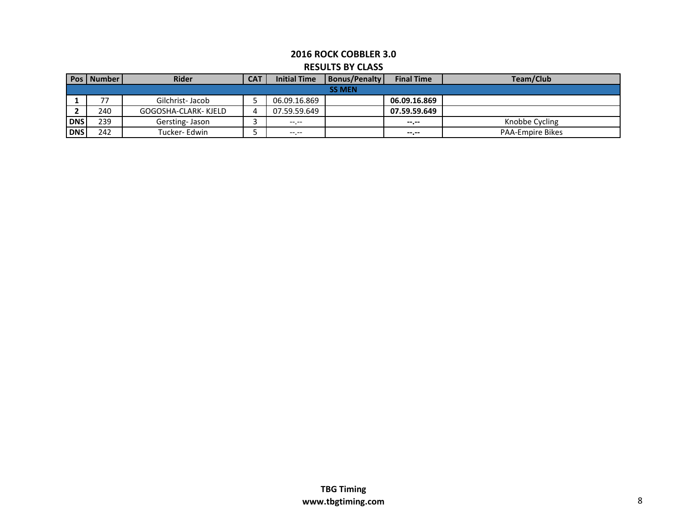|               | <b>Rider</b>             | <b>CAT</b>            | <b>Initial Time</b> | <b>Final Time</b> | Team/Club               |  |  |  |  |  |
|---------------|--------------------------|-----------------------|---------------------|-------------------|-------------------------|--|--|--|--|--|
| <b>SS MEN</b> |                          |                       |                     |                   |                         |  |  |  |  |  |
| 77            | Gilchrist-Jacob          |                       | 06.09.16.869        | 06.09.16.869      |                         |  |  |  |  |  |
| 240           | GOGOSHA-CLARK-KJELD      | 4                     | 07.59.59.649        | 07.59.59.649      |                         |  |  |  |  |  |
| 239           | Gersting-Jason           |                       | $---$               | --.--             | Knobbe Cycling          |  |  |  |  |  |
| 242           | Tucker-Edwin             |                       |                     | $- - - - -$       | <b>PAA-Empire Bikes</b> |  |  |  |  |  |
|               | <b>DNS</b><br><b>DNS</b> | <b>Pos   Number  </b> |                     |                   | Bonus/Penalty           |  |  |  |  |  |